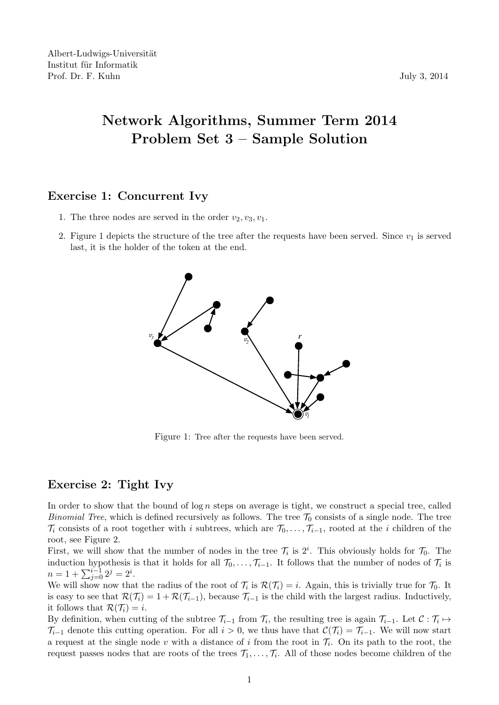## Network Algorithms, Summer Term 2014 Problem Set 3 – Sample Solution

## Exercise 1: Concurrent Ivy

- 1. The three nodes are served in the order  $v_2, v_3, v_1$ .
- 2. Figure 1 depicts the structure of the tree after the requests have been served. Since  $v_1$  is served last, it is the holder of the token at the end.



Figure 1: Tree after the requests have been served.

## Exercise 2: Tight Ivy

In order to show that the bound of  $\log n$  steps on average is tight, we construct a special tree, called *Binomial Tree*, which is defined recursively as follows. The tree  $\mathcal{T}_0$  consists of a single node. The tree  $\mathcal{T}_i$  consists of a root together with i subtrees, which are  $\mathcal{T}_0, \ldots, \mathcal{T}_{i-1}$ , rooted at the i children of the root, see Figure 2.

First, we will show that the number of nodes in the tree  $\mathcal{T}_i$  is  $2^i$ . This obviously holds for  $\mathcal{T}_0$ . The induction hypothesis is that it holds for all  $\mathcal{T}_0, \ldots, \mathcal{T}_{i-1}$ . It follows that the number of nodes of  $\mathcal{T}_i$  is  $n = 1 + \sum_{j=0}^{i-1} 2^j = 2^i.$ 

We will show now that the radius of the root of  $\mathcal{T}_i$  is  $\mathcal{R}(\mathcal{T}_i) = i$ . Again, this is trivially true for  $\mathcal{T}_0$ . It is easy to see that  $\mathcal{R}(\mathcal{T}_i) = 1 + \mathcal{R}(\mathcal{T}_{i-1})$ , because  $\mathcal{T}_{i-1}$  is the child with the largest radius. Inductively, it follows that  $\mathcal{R}(\mathcal{T}_i) = i$ .

By definition, when cutting of the subtree  $\mathcal{T}_{i-1}$  from  $\mathcal{T}_i$ , the resulting tree is again  $\mathcal{T}_{i-1}$ . Let  $\mathcal{C} : \mathcal{T}_i \mapsto$  $\mathcal{T}_{i-1}$  denote this cutting operation. For all  $i > 0$ , we thus have that  $\mathcal{C}(\mathcal{T}_i) = \mathcal{T}_{i-1}$ . We will now start a request at the single node v with a distance of i from the root in  $\mathcal{T}_i$ . On its path to the root, the request passes nodes that are roots of the trees  $\mathcal{T}_1, \ldots, \mathcal{T}_i$ . All of those nodes become children of the